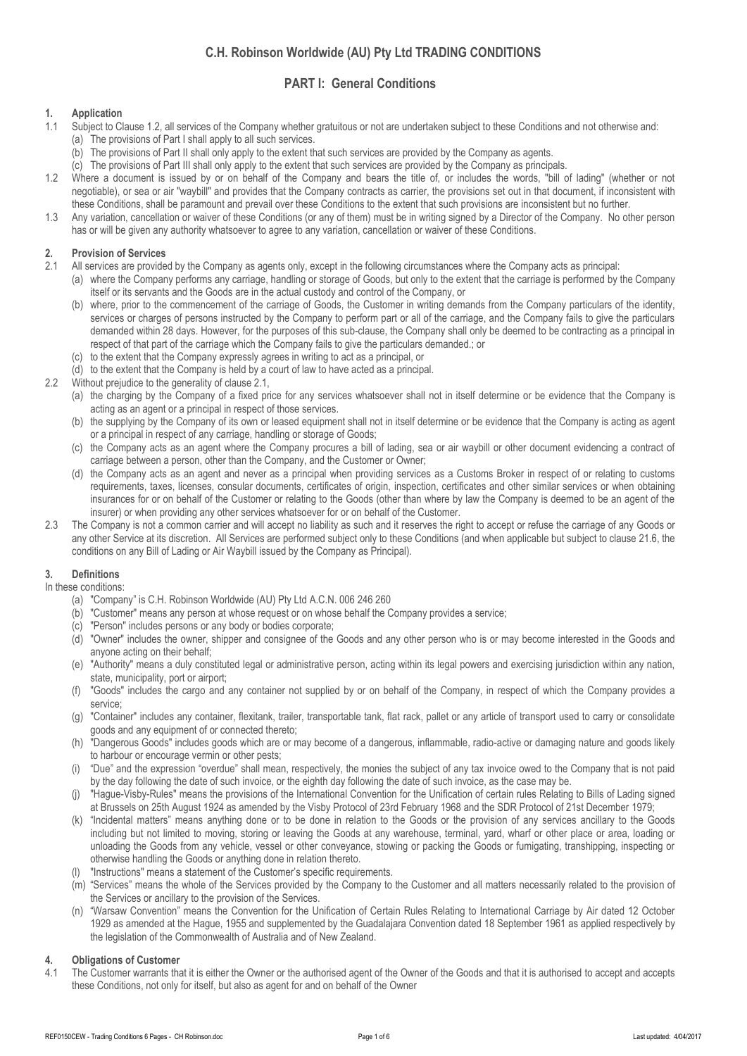# **PART I: General Conditions**

# **1. Application**

- 1.1 Subject to Clause 1.2, all services of the Company whether gratuitous or not are undertaken subject to these Conditions and not otherwise and:
	- (a) The provisions of Part I shall apply to all such services.
	- (b) The provisions of Part II shall only apply to the extent that such services are provided by the Company as agents.
	- (c) The provisions of Part III shall only apply to the extent that such services are provided by the Company as principals.
- 1.2 Where a document is issued by or on behalf of the Company and bears the title of, or includes the words, "bill of lading" (whether or not negotiable), or sea or air "waybill" and provides that the Company contracts as carrier, the provisions set out in that document, if inconsistent with these Conditions, shall be paramount and prevail over these Conditions to the extent that such provisions are inconsistent but no further.
- 1.3 Any variation, cancellation or waiver of these Conditions (or any of them) must be in writing signed by a Director of the Company. No other person has or will be given any authority whatsoever to agree to any variation, cancellation or waiver of these Conditions.

# **2. Provision of Services**

- 2.1 All services are provided by the Company as agents only, except in the following circumstances where the Company acts as principal:
	- (a) where the Company performs any carriage, handling or storage of Goods, but only to the extent that the carriage is performed by the Company itself or its servants and the Goods are in the actual custody and control of the Company, or
	- (b) where, prior to the commencement of the carriage of Goods, the Customer in writing demands from the Company particulars of the identity, services or charges of persons instructed by the Company to perform part or all of the carriage, and the Company fails to give the particulars demanded within 28 days. However, for the purposes of this sub-clause, the Company shall only be deemed to be contracting as a principal in respect of that part of the carriage which the Company fails to give the particulars demanded.; or
	- (c) to the extent that the Company expressly agrees in writing to act as a principal, or
	- (d) to the extent that the Company is held by a court of law to have acted as a principal.
- 2.2 Without prejudice to the generality of clause 2.1,
	- (a) the charging by the Company of a fixed price for any services whatsoever shall not in itself determine or be evidence that the Company is acting as an agent or a principal in respect of those services.
	- (b) the supplying by the Company of its own or leased equipment shall not in itself determine or be evidence that the Company is acting as agent or a principal in respect of any carriage, handling or storage of Goods;
	- (c) the Company acts as an agent where the Company procures a bill of lading, sea or air waybill or other document evidencing a contract of carriage between a person, other than the Company, and the Customer or Owner;
	- (d) the Company acts as an agent and never as a principal when providing services as a Customs Broker in respect of or relating to customs requirements, taxes, licenses, consular documents, certificates of origin, inspection, certificates and other similar services or when obtaining insurances for or on behalf of the Customer or relating to the Goods (other than where by law the Company is deemed to be an agent of the insurer) or when providing any other services whatsoever for or on behalf of the Customer.
- 2.3 The Company is not a common carrier and will accept no liability as such and it reserves the right to accept or refuse the carriage of any Goods or any other Service at its discretion. All Services are performed subject only to these Conditions (and when applicable but subject to clause 21.6, the conditions on any Bill of Lading or Air Waybill issued by the Company as Principal).

# **3. Definitions**

## In these conditions:

- (a) "Company" is C.H. Robinson Worldwide (AU) Pty Ltd A.C.N. 006 246 260
- (b) "Customer" means any person at whose request or on whose behalf the Company provides a service;
- (c) "Person" includes persons or any body or bodies corporate;
- (d) "Owner" includes the owner, shipper and consignee of the Goods and any other person who is or may become interested in the Goods and anyone acting on their behalf;
- (e) "Authority" means a duly constituted legal or administrative person, acting within its legal powers and exercising jurisdiction within any nation, state, municipality, port or airport;
- (f) "Goods" includes the cargo and any container not supplied by or on behalf of the Company, in respect of which the Company provides a service;
- (g) "Container" includes any container, flexitank, trailer, transportable tank, flat rack, pallet or any article of transport used to carry or consolidate goods and any equipment of or connected thereto;
- (h) "Dangerous Goods" includes goods which are or may become of a dangerous, inflammable, radio-active or damaging nature and goods likely to harbour or encourage vermin or other pests;
- (i) "Due" and the expression "overdue" shall mean, respectively, the monies the subject of any tax invoice owed to the Company that is not paid by the day following the date of such invoice, or the eighth day following the date of such invoice, as the case may be.
- (j) "Hague-Visby-Rules" means the provisions of the International Convention for the Unification of certain rules Relating to Bills of Lading signed at Brussels on 25th August 1924 as amended by the Visby Protocol of 23rd February 1968 and the SDR Protocol of 21st December 1979;
- (k) "Incidental matters" means anything done or to be done in relation to the Goods or the provision of any services ancillary to the Goods including but not limited to moving, storing or leaving the Goods at any warehouse, terminal, yard, wharf or other place or area, loading or unloading the Goods from any vehicle, vessel or other conveyance, stowing or packing the Goods or fumigating, transhipping, inspecting or otherwise handling the Goods or anything done in relation thereto.
- "Instructions" means a statement of the Customer's specific requirements.
- (m) "Services" means the whole of the Services provided by the Company to the Customer and all matters necessarily related to the provision of the Services or ancillary to the provision of the Services.
- (n) "Warsaw Convention" means the Convention for the Unification of Certain Rules Relating to International Carriage by Air dated 12 October 1929 as amended at the Hague, 1955 and supplemented by the Guadalajara Convention dated 18 September 1961 as applied respectively by the legislation of the Commonwealth of Australia and of New Zealand.

### **4. Obligations of Customer**

4.1 The Customer warrants that it is either the Owner or the authorised agent of the Owner of the Goods and that it is authorised to accept and accepts these Conditions, not only for itself, but also as agent for and on behalf of the Owner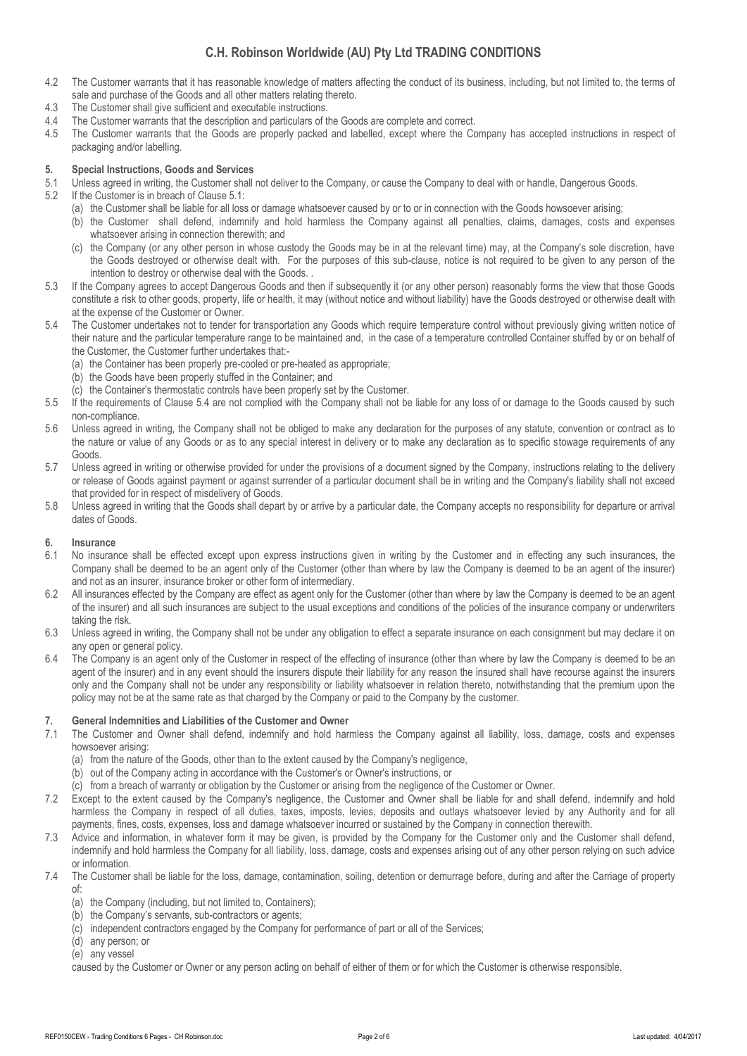- 4.2 The Customer warrants that it has reasonable knowledge of matters affecting the conduct of its business, including, but not limited to, the terms of sale and purchase of the Goods and all other matters relating thereto.
- 4.3 The Customer shall give sufficient and executable instructions.
- 4.4 The Customer warrants that the description and particulars of the Goods are complete and correct.<br>4.5 The Customer warrants that the Goods are properly packed and labelled except where the Co
- The Customer warrants that the Goods are properly packed and labelled, except where the Company has accepted instructions in respect of packaging and/or labelling.

## **5. Special Instructions, Goods and Services**

- 5.1 Unless agreed in writing, the Customer shall not deliver to the Company, or cause the Company to deal with or handle, Dangerous Goods.
- 5.2 If the Customer is in breach of Clause 5.1:
	- (a) the Customer shall be liable for all loss or damage whatsoever caused by or to or in connection with the Goods howsoever arising;
		- (b) the Customer shall defend, indemnify and hold harmless the Company against all penalties, claims, damages, costs and expenses whatsoever arising in connection therewith; and
		- (c) the Company (or any other person in whose custody the Goods may be in at the relevant time) may, at the Company's sole discretion, have the Goods destroyed or otherwise dealt with. For the purposes of this sub-clause, notice is not required to be given to any person of the intention to destroy or otherwise deal with the Goods. .
- 5.3 If the Company agrees to accept Dangerous Goods and then if subsequently it (or any other person) reasonably forms the view that those Goods constitute a risk to other goods, property, life or health, it may (without notice and without liability) have the Goods destroyed or otherwise dealt with at the expense of the Customer or Owner.
- 5.4 The Customer undertakes not to tender for transportation any Goods which require temperature control without previously giving written notice of their nature and the particular temperature range to be maintained and, in the case of a temperature controlled Container stuffed by or on behalf of the Customer, the Customer further undertakes that:-
	- (a) the Container has been properly pre-cooled or pre-heated as appropriate;
	- (b) the Goods have been properly stuffed in the Container; and
	- (c) the Container's thermostatic controls have been properly set by the Customer.
- 5.5 If the requirements of Clause 5.4 are not complied with the Company shall not be liable for any loss of or damage to the Goods caused by such non-compliance.
- 5.6 Unless agreed in writing, the Company shall not be obliged to make any declaration for the purposes of any statute, convention or contract as to the nature or value of any Goods or as to any special interest in delivery or to make any declaration as to specific stowage requirements of any Goods.
- 5.7 Unless agreed in writing or otherwise provided for under the provisions of a document signed by the Company, instructions relating to the delivery or release of Goods against payment or against surrender of a particular document shall be in writing and the Company's liability shall not exceed that provided for in respect of misdelivery of Goods.
- 5.8 Unless agreed in writing that the Goods shall depart by or arrive by a particular date, the Company accepts no responsibility for departure or arrival dates of Goods.

## **6. Insurance**

- 6.1 No insurance shall be effected except upon express instructions given in writing by the Customer and in effecting any such insurances, the Company shall be deemed to be an agent only of the Customer (other than where by law the Company is deemed to be an agent of the insurer) and not as an insurer, insurance broker or other form of intermediary.
- 6.2 All insurances effected by the Company are effect as agent only for the Customer (other than where by law the Company is deemed to be an agent of the insurer) and all such insurances are subject to the usual exceptions and conditions of the policies of the insurance company or underwriters taking the risk.
- 6.3 Unless agreed in writing, the Company shall not be under any obligation to effect a separate insurance on each consignment but may declare it on any open or general policy.
- 6.4 The Company is an agent only of the Customer in respect of the effecting of insurance (other than where by law the Company is deemed to be an agent of the insurer) and in any event should the insurers dispute their liability for any reason the insured shall have recourse against the insurers only and the Company shall not be under any responsibility or liability whatsoever in relation thereto, notwithstanding that the premium upon the policy may not be at the same rate as that charged by the Company or paid to the Company by the customer.

### **7. General Indemnities and Liabilities of the Customer and Owner**

- 7.1 The Customer and Owner shall defend, indemnify and hold harmless the Company against all liability, loss, damage, costs and expenses howsoever arising:
	- (a) from the nature of the Goods, other than to the extent caused by the Company's negligence,
	- (b) out of the Company acting in accordance with the Customer's or Owner's instructions, or
	- (c) from a breach of warranty or obligation by the Customer or arising from the negligence of the Customer or Owner.
- 7.2 Except to the extent caused by the Company's negligence, the Customer and Owner shall be liable for and shall defend, indemnify and hold harmless the Company in respect of all duties, taxes, imposts, levies, deposits and outlays whatsoever levied by any Authority and for all payments, fines, costs, expenses, loss and damage whatsoever incurred or sustained by the Company in connection therewith.
- 7.3 Advice and information, in whatever form it may be given, is provided by the Company for the Customer only and the Customer shall defend, indemnify and hold harmless the Company for all liability, loss, damage, costs and expenses arising out of any other person relying on such advice or information.
- 7.4 The Customer shall be liable for the loss, damage, contamination, soiling, detention or demurrage before, during and after the Carriage of property of:
	- (a) the Company (including, but not limited to, Containers);
	- (b) the Company's servants, sub-contractors or agents;
	- (c) independent contractors engaged by the Company for performance of part or all of the Services;
	- (d) any person; or
	- (e) any vessel

caused by the Customer or Owner or any person acting on behalf of either of them or for which the Customer is otherwise responsible.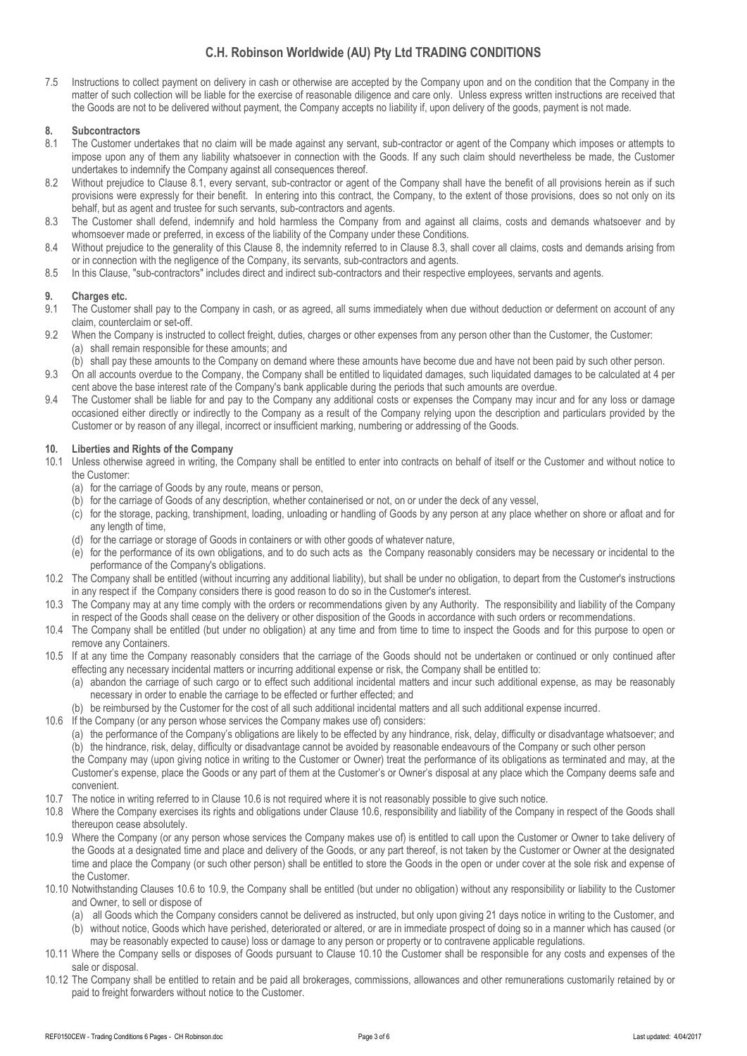7.5 Instructions to collect payment on delivery in cash or otherwise are accepted by the Company upon and on the condition that the Company in the matter of such collection will be liable for the exercise of reasonable diligence and care only. Unless express written instructions are received that the Goods are not to be delivered without payment, the Company accepts no liability if, upon delivery of the goods, payment is not made.

# **8. Subcontractors**

- 8.1 The Customer undertakes that no claim will be made against any servant, sub-contractor or agent of the Company which imposes or attempts to impose upon any of them any liability whatsoever in connection with the Goods. If any such claim should nevertheless be made, the Customer undertakes to indemnify the Company against all consequences thereof.
- 8.2 Without prejudice to Clause 8.1, every servant, sub-contractor or agent of the Company shall have the benefit of all provisions herein as if such provisions were expressly for their benefit. In entering into this contract, the Company, to the extent of those provisions, does so not only on its behalf, but as agent and trustee for such servants, sub-contractors and agents.
- 8.3 The Customer shall defend, indemnify and hold harmless the Company from and against all claims, costs and demands whatsoever and by whomsoever made or preferred, in excess of the liability of the Company under these Conditions.
- 8.4 Without prejudice to the generality of this Clause 8, the indemnity referred to in Clause 8.3, shall cover all claims, costs and demands arising from or in connection with the negligence of the Company, its servants, sub-contractors and agents.
- 8.5 In this Clause, "sub-contractors" includes direct and indirect sub-contractors and their respective employees, servants and agents.

# **9. Charges etc.**

- The Customer shall pay to the Company in cash, or as agreed, all sums immediately when due without deduction or deferment on account of any claim, counterclaim or set-off.
- 9.2 When the Company is instructed to collect freight, duties, charges or other expenses from any person other than the Customer, the Customer: (a) shall remain responsible for these amounts; and
	- (b) shall pay these amounts to the Company on demand where these amounts have become due and have not been paid by such other person.
- 9.3 On all accounts overdue to the Company, the Company shall be entitled to liquidated damages, such liquidated damages to be calculated at 4 per cent above the base interest rate of the Company's bank applicable during the periods that such amounts are overdue.
- 9.4 The Customer shall be liable for and pay to the Company any additional costs or expenses the Company may incur and for any loss or damage occasioned either directly or indirectly to the Company as a result of the Company relying upon the description and particulars provided by the Customer or by reason of any illegal, incorrect or insufficient marking, numbering or addressing of the Goods.

# **10. Liberties and Rights of the Company**

- 10.1 Unless otherwise agreed in writing, the Company shall be entitled to enter into contracts on behalf of itself or the Customer and without notice to the Customer:
	- (a) for the carriage of Goods by any route, means or person,
	- (b) for the carriage of Goods of any description, whether containerised or not, on or under the deck of any vessel,
	- (c) for the storage, packing, transhipment, loading, unloading or handling of Goods by any person at any place whether on shore or afloat and for any length of time,
	- (d) for the carriage or storage of Goods in containers or with other goods of whatever nature,
	- (e) for the performance of its own obligations, and to do such acts as the Company reasonably considers may be necessary or incidental to the performance of the Company's obligations.
- 10.2 The Company shall be entitled (without incurring any additional liability), but shall be under no obligation, to depart from the Customer's instructions in any respect if the Company considers there is good reason to do so in the Customer's interest.
- 10.3 The Company may at any time comply with the orders or recommendations given by any Authority. The responsibility and liability of the Company in respect of the Goods shall cease on the delivery or other disposition of the Goods in accordance with such orders or recommendations.
- 10.4 The Company shall be entitled (but under no obligation) at any time and from time to time to inspect the Goods and for this purpose to open or remove any Containers.
- 10.5 If at any time the Company reasonably considers that the carriage of the Goods should not be undertaken or continued or only continued after effecting any necessary incidental matters or incurring additional expense or risk, the Company shall be entitled to:
	- (a) abandon the carriage of such cargo or to effect such additional incidental matters and incur such additional expense, as may be reasonably necessary in order to enable the carriage to be effected or further effected; and
	- (b) be reimbursed by the Customer for the cost of all such additional incidental matters and all such additional expense incurred.
- 10.6 If the Company (or any person whose services the Company makes use of) considers:
	- (a) the performance of the Company's obligations are likely to be effected by any hindrance, risk, delay, difficulty or disadvantage whatsoever; and (b) the hindrance, risk, delay, difficulty or disadvantage cannot be avoided by reasonable endeavours of the Company or such other person
	- the Company may (upon giving notice in writing to the Customer or Owner) treat the performance of its obligations as terminated and may, at the Customer's expense, place the Goods or any part of them at the Customer's or Owner's disposal at any place which the Company deems safe and convenient.
- 10.7 The notice in writing referred to in Clause 10.6 is not required where it is not reasonably possible to give such notice.
- 10.8 Where the Company exercises its rights and obligations under Clause 10.6, responsibility and liability of the Company in respect of the Goods shall thereupon cease absolutely.
- 10.9 Where the Company (or any person whose services the Company makes use of) is entitled to call upon the Customer or Owner to take delivery of the Goods at a designated time and place and delivery of the Goods, or any part thereof, is not taken by the Customer or Owner at the designated time and place the Company (or such other person) shall be entitled to store the Goods in the open or under cover at the sole risk and expense of the Customer.
- 10.10 Notwithstanding Clauses 10.6 to 10.9, the Company shall be entitled (but under no obligation) without any responsibility or liability to the Customer and Owner, to sell or dispose of
	- (a) all Goods which the Company considers cannot be delivered as instructed, but only upon giving 21 days notice in writing to the Customer, and (b) without notice, Goods which have perished, deteriorated or altered, or are in immediate prospect of doing so in a manner which has caused (or
- may be reasonably expected to cause) loss or damage to any person or property or to contravene applicable regulations. 10.11 Where the Company sells or disposes of Goods pursuant to Clause 10.10 the Customer shall be responsible for any costs and expenses of the
- sale or disposal.
- 10.12 The Company shall be entitled to retain and be paid all brokerages, commissions, allowances and other remunerations customarily retained by or paid to freight forwarders without notice to the Customer.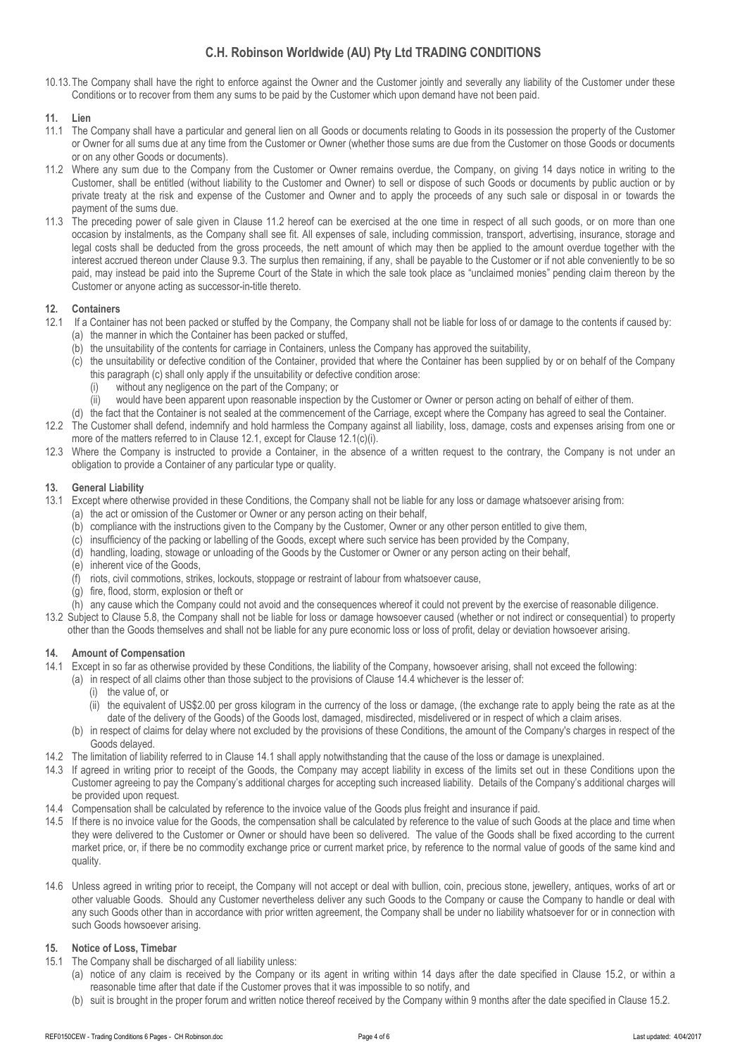10.13.The Company shall have the right to enforce against the Owner and the Customer jointly and severally any liability of the Customer under these Conditions or to recover from them any sums to be paid by the Customer which upon demand have not been paid.

# **11. Lien**

- 11.1 The Company shall have a particular and general lien on all Goods or documents relating to Goods in its possession the property of the Customer or Owner for all sums due at any time from the Customer or Owner (whether those sums are due from the Customer on those Goods or documents or on any other Goods or documents).
- 11.2 Where any sum due to the Company from the Customer or Owner remains overdue, the Company, on giving 14 days notice in writing to the Customer, shall be entitled (without liability to the Customer and Owner) to sell or dispose of such Goods or documents by public auction or by private treaty at the risk and expense of the Customer and Owner and to apply the proceeds of any such sale or disposal in or towards the payment of the sums due.
- 11.3 The preceding power of sale given in Clause 11.2 hereof can be exercised at the one time in respect of all such goods, or on more than one occasion by instalments, as the Company shall see fit. All expenses of sale, including commission, transport, advertising, insurance, storage and legal costs shall be deducted from the gross proceeds, the nett amount of which may then be applied to the amount overdue together with the interest accrued thereon under Clause 9.3. The surplus then remaining, if any, shall be payable to the Customer or if not able conveniently to be so paid, may instead be paid into the Supreme Court of the State in which the sale took place as "unclaimed monies" pending claim thereon by the Customer or anyone acting as successor-in-title thereto.

## **12. Containers**

- 12.1 If a Container has not been packed or stuffed by the Company, the Company shall not be liable for loss of or damage to the contents if caused by:
	- (a) the manner in which the Container has been packed or stuffed,
	- (b) the unsuitability of the contents for carriage in Containers, unless the Company has approved the suitability,
	- (c) the unsuitability or defective condition of the Container, provided that where the Container has been supplied by or on behalf of the Company this paragraph (c) shall only apply if the unsuitability or defective condition arose:
		- (i) without any negligence on the part of the Company; or
		- (ii) would have been apparent upon reasonable inspection by the Customer or Owner or person acting on behalf of either of them.
	- (d) the fact that the Container is not sealed at the commencement of the Carriage, except where the Company has agreed to seal the Container.
- 12.2 The Customer shall defend, indemnify and hold harmless the Company against all liability, loss, damage, costs and expenses arising from one or more of the matters referred to in Clause 12.1, except for Clause 12.1(c)(i).
- 12.3 Where the Company is instructed to provide a Container, in the absence of a written request to the contrary, the Company is not under an obligation to provide a Container of any particular type or quality.

## **13. General Liability**

- 13.1 Except where otherwise provided in these Conditions, the Company shall not be liable for any loss or damage whatsoever arising from: (a) the act or omission of the Customer or Owner or any person acting on their behalf,
	- (b) compliance with the instructions given to the Company by the Customer, Owner or any other person entitled to give them,
	- (c) insufficiency of the packing or labelling of the Goods, except where such service has been provided by the Company,
	- (d) handling, loading, stowage or unloading of the Goods by the Customer or Owner or any person acting on their behalf,
	- (e) inherent vice of the Goods,
	- (f) riots, civil commotions, strikes, lockouts, stoppage or restraint of labour from whatsoever cause,
	- (g) fire, flood, storm, explosion or theft or
	- (h) any cause which the Company could not avoid and the consequences whereof it could not prevent by the exercise of reasonable diligence.
- 13.2 Subject to Clause 5.8, the Company shall not be liable for loss or damage howsoever caused (whether or not indirect or consequential) to property other than the Goods themselves and shall not be liable for any pure economic loss or loss of profit, delay or deviation howsoever arising.

### **14. Amount of Compensation**

- 14.1 Except in so far as otherwise provided by these Conditions, the liability of the Company, howsoever arising, shall not exceed the following:
	- (a) in respect of all claims other than those subject to the provisions of Clause 14.4 whichever is the lesser of:
		- (i) the value of, or
		- (ii) the equivalent of US\$2.00 per gross kilogram in the currency of the loss or damage, (the exchange rate to apply being the rate as at the date of the delivery of the Goods) of the Goods lost, damaged, misdirected, misdelivered or in respect of which a claim arises.
	- (b) in respect of claims for delay where not excluded by the provisions of these Conditions, the amount of the Company's charges in respect of the Goods delayed.
- 14.2 The limitation of liability referred to in Clause 14.1 shall apply notwithstanding that the cause of the loss or damage is unexplained.
- 14.3 If agreed in writing prior to receipt of the Goods, the Company may accept liability in excess of the limits set out in these Conditions upon the Customer agreeing to pay the Company's additional charges for accepting such increased liability. Details of the Company's additional charges will be provided upon request.
- 14.4 Compensation shall be calculated by reference to the invoice value of the Goods plus freight and insurance if paid.
- 14.5 If there is no invoice value for the Goods, the compensation shall be calculated by reference to the value of such Goods at the place and time when they were delivered to the Customer or Owner or should have been so delivered. The value of the Goods shall be fixed according to the current market price, or, if there be no commodity exchange price or current market price, by reference to the normal value of goods of the same kind and quality.
- 14.6 Unless agreed in writing prior to receipt, the Company will not accept or deal with bullion, coin, precious stone, jewellery, antiques, works of art or other valuable Goods. Should any Customer nevertheless deliver any such Goods to the Company or cause the Company to handle or deal with any such Goods other than in accordance with prior written agreement, the Company shall be under no liability whatsoever for or in connection with such Goods howsoever arising.

# **15. Notice of Loss, Timebar**

- 15.1 The Company shall be discharged of all liability unless:
	- (a) notice of any claim is received by the Company or its agent in writing within 14 days after the date specified in Clause 15.2, or within a reasonable time after that date if the Customer proves that it was impossible to so notify, and
	- (b) suit is brought in the proper forum and written notice thereof received by the Company within 9 months after the date specified in Clause 15.2.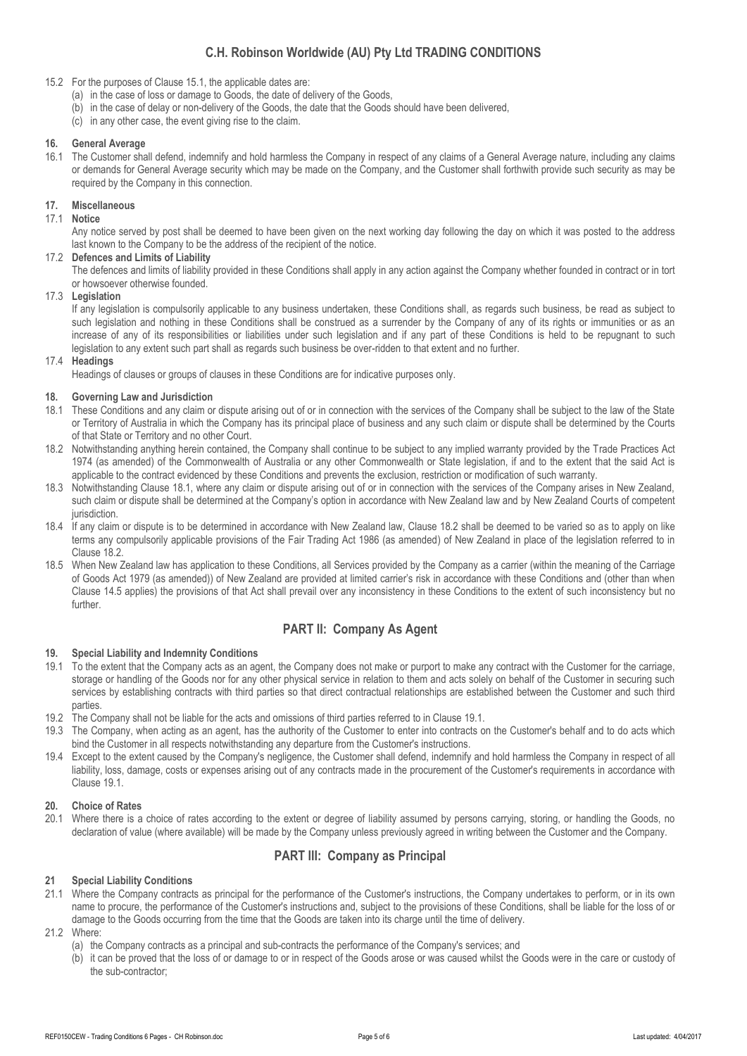- 15.2 For the purposes of Clause 15.1, the applicable dates are:
	- (a) in the case of loss or damage to Goods, the date of delivery of the Goods,
	- (b) in the case of delay or non-delivery of the Goods, the date that the Goods should have been delivered,
	- (c) in any other case, the event giving rise to the claim.

#### **16. General Average**

16.1 The Customer shall defend, indemnify and hold harmless the Company in respect of any claims of a General Average nature, including any claims or demands for General Average security which may be made on the Company, and the Customer shall forthwith provide such security as may be required by the Company in this connection.

### **17. Miscellaneous**

#### 17.1 **Notice**

Any notice served by post shall be deemed to have been given on the next working day following the day on which it was posted to the address last known to the Company to be the address of the recipient of the notice.

# 17.2 **Defences and Limits of Liability**

The defences and limits of liability provided in these Conditions shall apply in any action against the Company whether founded in contract or in tort or howsoever otherwise founded.

#### 17.3 **Legislation**

If any legislation is compulsorily applicable to any business undertaken, these Conditions shall, as regards such business, be read as subject to such legislation and nothing in these Conditions shall be construed as a surrender by the Company of any of its rights or immunities or as an increase of any of its responsibilities or liabilities under such legislation and if any part of these Conditions is held to be repugnant to such legislation to any extent such part shall as regards such business be over-ridden to that extent and no further.

17.4 **Headings**

Headings of clauses or groups of clauses in these Conditions are for indicative purposes only.

#### **18. Governing Law and Jurisdiction**

- 18.1 These Conditions and any claim or dispute arising out of or in connection with the services of the Company shall be subject to the law of the State or Territory of Australia in which the Company has its principal place of business and any such claim or dispute shall be determined by the Courts of that State or Territory and no other Court.
- 18.2 Notwithstanding anything herein contained, the Company shall continue to be subject to any implied warranty provided by the Trade Practices Act 1974 (as amended) of the Commonwealth of Australia or any other Commonwealth or State legislation, if and to the extent that the said Act is applicable to the contract evidenced by these Conditions and prevents the exclusion, restriction or modification of such warranty.
- 18.3 Notwithstanding Clause 18.1, where any claim or dispute arising out of or in connection with the services of the Company arises in New Zealand, such claim or dispute shall be determined at the Company's option in accordance with New Zealand law and by New Zealand Courts of competent jurisdiction.
- 18.4 If any claim or dispute is to be determined in accordance with New Zealand law, Clause 18.2 shall be deemed to be varied so as to apply on like terms any compulsorily applicable provisions of the Fair Trading Act 1986 (as amended) of New Zealand in place of the legislation referred to in Clause 18.2.
- 18.5 When New Zealand law has application to these Conditions, all Services provided by the Company as a carrier (within the meaning of the Carriage of Goods Act 1979 (as amended)) of New Zealand are provided at limited carrier's risk in accordance with these Conditions and (other than when Clause 14.5 applies) the provisions of that Act shall prevail over any inconsistency in these Conditions to the extent of such inconsistency but no further.

# **PART II: Company As Agent**

### **19. Special Liability and Indemnity Conditions**

- 19.1 To the extent that the Company acts as an agent, the Company does not make or purport to make any contract with the Customer for the carriage, storage or handling of the Goods nor for any other physical service in relation to them and acts solely on behalf of the Customer in securing such services by establishing contracts with third parties so that direct contractual relationships are established between the Customer and such third parties.
- 19.2 The Company shall not be liable for the acts and omissions of third parties referred to in Clause 19.1.
- 19.3 The Company, when acting as an agent, has the authority of the Customer to enter into contracts on the Customer's behalf and to do acts which bind the Customer in all respects notwithstanding any departure from the Customer's instructions.
- 19.4 Except to the extent caused by the Company's negligence, the Customer shall defend, indemnify and hold harmless the Company in respect of all liability, loss, damage, costs or expenses arising out of any contracts made in the procurement of the Customer's requirements in accordance with Clause 19.1.

### **20. Choice of Rates**

20.1 Where there is a choice of rates according to the extent or degree of liability assumed by persons carrying, storing, or handling the Goods, no declaration of value (where available) will be made by the Company unless previously agreed in writing between the Customer and the Company.

# **PART III: Company as Principal**

#### **21 Special Liability Conditions**

- 21.1 Where the Company contracts as principal for the performance of the Customer's instructions, the Company undertakes to perform, or in its own name to procure, the performance of the Customer's instructions and, subject to the provisions of these Conditions, shall be liable for the loss of or damage to the Goods occurring from the time that the Goods are taken into its charge until the time of delivery.
- 21.2 Where:
	- (a) the Company contracts as a principal and sub-contracts the performance of the Company's services; and
	- (b) it can be proved that the loss of or damage to or in respect of the Goods arose or was caused whilst the Goods were in the care or custody of the sub-contractor;